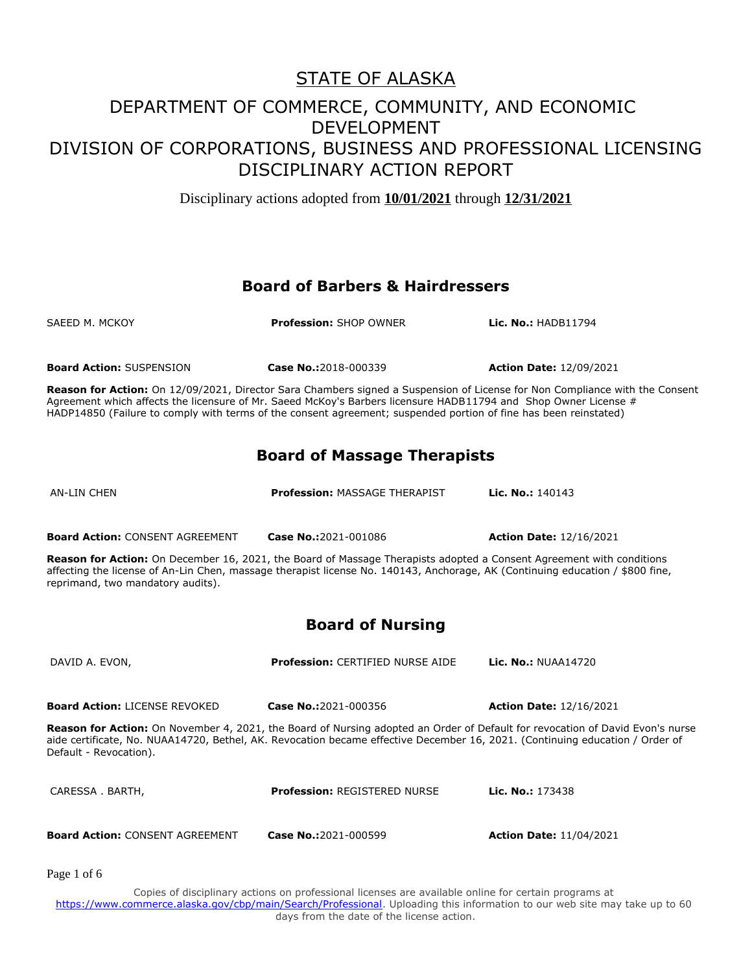Disciplinary actions adopted from **10/01/2021** through **12/31/2021**

#### **Board of Barbers & Hairdressers**

SAEED M. MCKOY **Profession:** SHOP OWNER **Lic. No.:** HADB11794 **Board Action:** SUSPENSION **Case No.:**2018-000339 **Action Date:** 12/09/2021 **Reason for Action:** On 12/09/2021, Director Sara Chambers signed a Suspension of License for Non Compliance with the Consent Agreement which affects the licensure of Mr. Saeed McKoy's Barbers licensure HADB11794 and Shop Owner License # HADP14850 (Failure to comply with terms of the consent agreement; suspended portion of fine has been reinstated) **Board of Massage Therapists** AN-LIN CHEN **Profession:** MASSAGE THERAPIST **Lic. No.:** 140143 **Board Action:** CONSENT AGREEMENT **Case No.:**2021-001086 **Action Date:** 12/16/2021 **Reason for Action:** On December 16, 2021, the Board of Massage Therapists adopted a Consent Agreement with conditions affecting the license of An-Lin Chen, massage therapist license No. 140143, Anchorage, AK (Continuing education / \$800 fine, reprimand, two mandatory audits). **Board of Nursing** DAVID A. EVON, **Profession:** CERTIFIED NURSE AIDE **Lic. No.:** NUAA14720 **Board Action:** LICENSE REVOKED **Case No.:**2021-000356 **Action Date:** 12/16/2021 **Reason for Action:** On November 4, 2021, the Board of Nursing adopted an Order of Default for revocation of David Evon's nurse aide certificate, No. NUAA14720, Bethel, AK. Revocation became effective December 16, 2021. (Continuing education / Order of Default - Revocation). CARESSA . BARTH, **Profession:** REGISTERED NURSE **Lic. No.:** 173438 **Board Action:** CONSENT AGREEMENT **Case No.:**2021-000599 **Action Date:** 11/04/2021 Page 1 of 6

Copies of disciplinary actions on professional licenses are available online for certain programs at https://www.commerce.alaska.gov/cbp/main/Search/Professional</u>. Uploading this information to our web site may take up to 60 days from the date of the license action.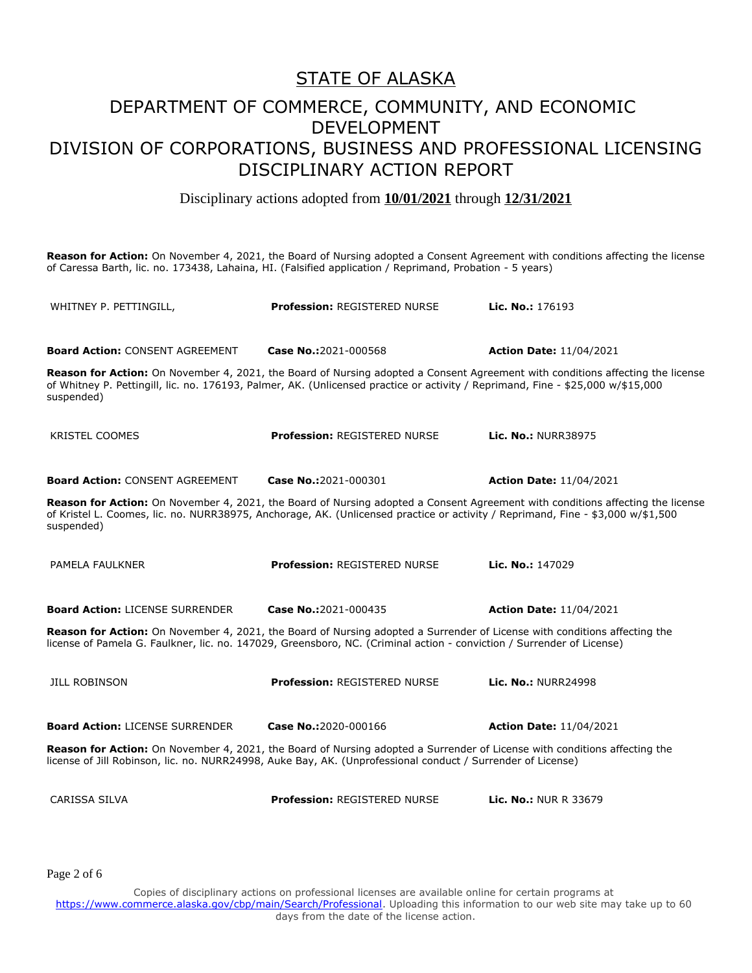### STATE OF ALASKA

## DEPARTMENT OF COMMERCE, COMMUNITY, AND ECONOMIC DEVELOPMENT DIVISION OF CORPORATIONS, BUSINESS AND PROFESSIONAL LICENSING DISCIPLINARY ACTION REPORT

Disciplinary actions adopted from **10/01/2021** through **12/31/2021**

**Reason for Action:** On November 4, 2021, the Board of Nursing adopted a Consent Agreement with conditions affecting the license of Caressa Barth, lic. no. 173438, Lahaina, HI. (Falsified application / Reprimand, Probation - 5 years)

WHITNEY P. PETTINGILL, **Profession:** REGISTERED NURSE **Lic. No.:** 176193 **Board Action:** CONSENT AGREEMENT **Case No.:**2021-000568 **Action Date:** 11/04/2021 **Reason for Action:** On November 4, 2021, the Board of Nursing adopted a Consent Agreement with conditions affecting the license of Whitney P. Pettingill, lic. no. 176193, Palmer, AK. (Unlicensed practice or activity / Reprimand, Fine - \$25,000 w/\$15,000 suspended) KRISTEL COOMES **Profession:** REGISTERED NURSE **Lic. No.:** NURR38975 **Board Action:** CONSENT AGREEMENT **Case No.:**2021-000301 **Action Date:** 11/04/2021 **Reason for Action:** On November 4, 2021, the Board of Nursing adopted a Consent Agreement with conditions affecting the license of Kristel L. Coomes, lic. no. NURR38975, Anchorage, AK. (Unlicensed practice or activity / Reprimand, Fine - \$3,000 w/\$1,500 suspended) PAMELA FAULKNER **Profession:** REGISTERED NURSE **Lic. No.:** 147029 **Board Action:** LICENSE SURRENDER **Case No.:**2021-000435 **Action Date:** 11/04/2021 **Reason for Action:** On November 4, 2021, the Board of Nursing adopted a Surrender of License with conditions affecting the license of Pamela G. Faulkner, lic. no. 147029, Greensboro, NC. (Criminal action - conviction / Surrender of License) JILL ROBINSON **Profession:** REGISTERED NURSE **Lic. No.:** NURR24998 **Board Action:** LICENSE SURRENDER **Case No.:**2020-000166 **Action Date:** 11/04/2021 **Reason for Action:** On November 4, 2021, the Board of Nursing adopted a Surrender of License with conditions affecting the license of Jill Robinson, lic. no. NURR24998, Auke Bay, AK. (Unprofessional conduct / Surrender of License) CARISSA SILVA **Profession:** REGISTERED NURSE **Lic. No.:** NUR R 33679

Page 2 of 6

Copies of disciplinary actions on professional licenses are available online for certain programs at https://www.commerce.alaska.gov/cbp/main/Search/Professional</u>. Uploading this information to our web site may take up to 60 days from the date of the license action.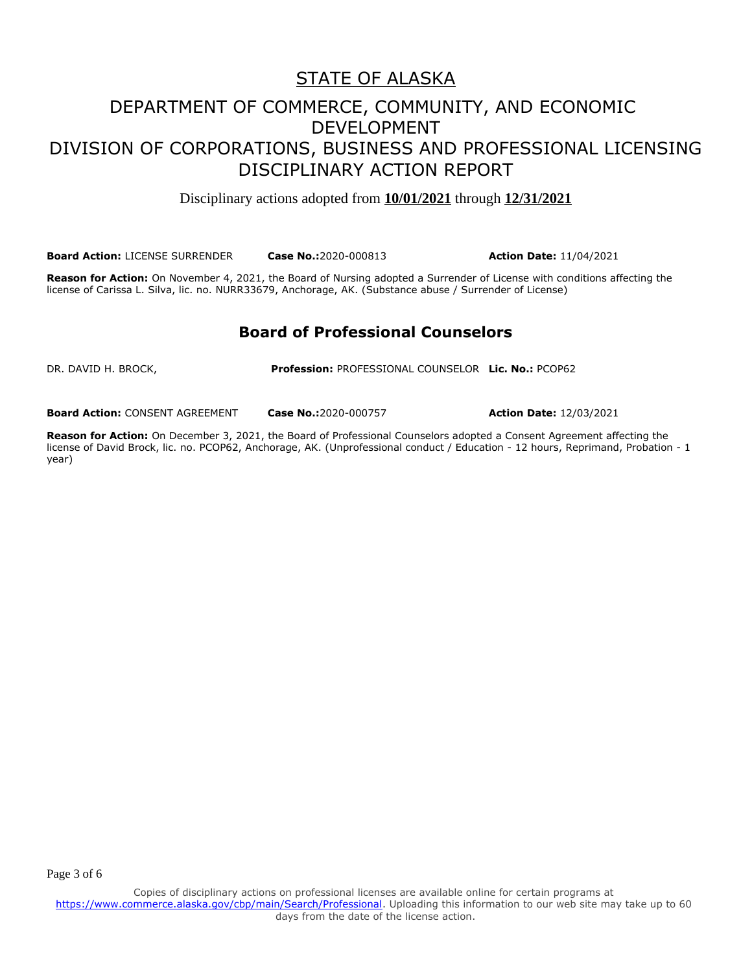### STATE OF ALASKA

## DEPARTMENT OF COMMERCE, COMMUNITY, AND ECONOMIC DEVELOPMENT DIVISION OF CORPORATIONS, BUSINESS AND PROFESSIONAL LICENSING DISCIPLINARY ACTION REPORT

Disciplinary actions adopted from **10/01/2021** through **12/31/2021**

**Board Action:** LICENSE SURRENDER **Case No.:**2020-000813 **Action Date:** 11/04/2021

**Reason for Action:** On November 4, 2021, the Board of Nursing adopted a Surrender of License with conditions affecting the license of Carissa L. Silva, lic. no. NURR33679, Anchorage, AK. (Substance abuse / Surrender of License)

#### **Board of Professional Counselors**

DR. DAVID H. BROCK, **Profession:** PROFESSIONAL COUNSELOR **Lic. No.:** PCOP62

**Board Action:** CONSENT AGREEMENT **Case No.:**2020-000757 **Action Date:** 12/03/2021

**Reason for Action:** On December 3, 2021, the Board of Professional Counselors adopted a Consent Agreement affecting the license of David Brock, lic. no. PCOP62, Anchorage, AK. (Unprofessional conduct / Education - 12 hours, Reprimand, Probation - 1 year)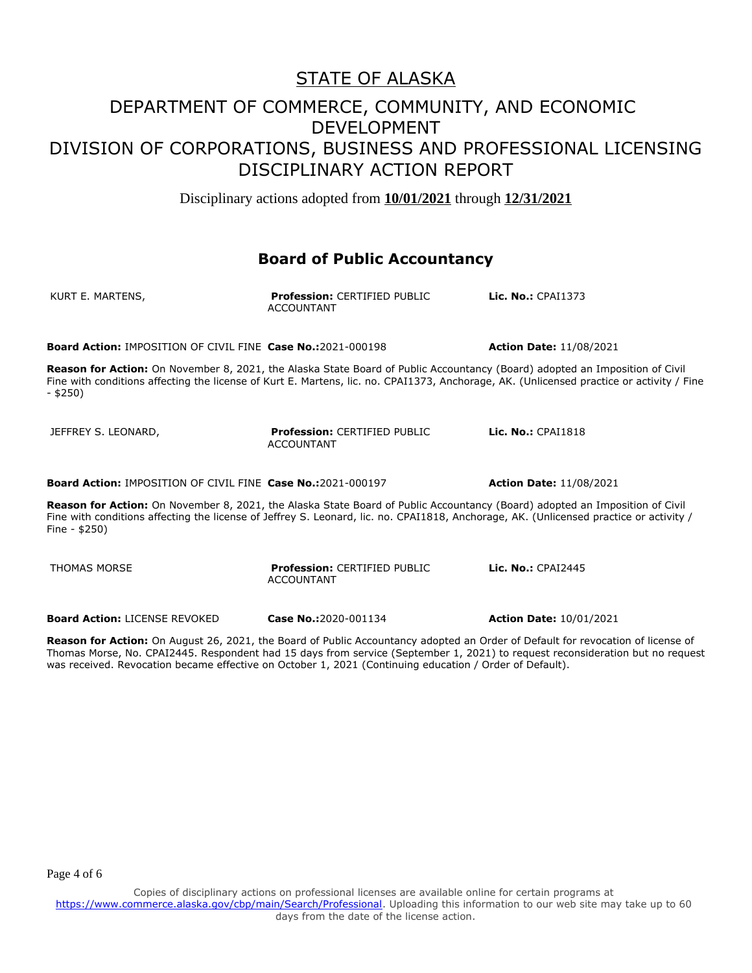Disciplinary actions adopted from **10/01/2021** through **12/31/2021**

#### **Board of Public Accountancy**

| KURT E. MARTENS,                                                                                                                                                                                                                                                                        | <b>Profession: CERTIFIED PUBLIC</b><br><b>ACCOUNTANT</b> | Lic. No.: CPAI1373             |  |  |
|-----------------------------------------------------------------------------------------------------------------------------------------------------------------------------------------------------------------------------------------------------------------------------------------|----------------------------------------------------------|--------------------------------|--|--|
| <b>Board Action: IMPOSITION OF CIVIL FINE Case No.:2021-000198</b>                                                                                                                                                                                                                      |                                                          | <b>Action Date: 11/08/2021</b> |  |  |
| Reason for Action: On November 8, 2021, the Alaska State Board of Public Accountancy (Board) adopted an Imposition of Civil<br>Fine with conditions affecting the license of Kurt E. Martens, lic. no. CPAI1373, Anchorage, AK. (Unlicensed practice or activity / Fine<br>$-$ \$250)   |                                                          |                                |  |  |
| JEFFREY S. LEONARD,                                                                                                                                                                                                                                                                     | <b>Profession: CERTIFIED PUBLIC</b><br><b>ACCOUNTANT</b> | <b>Lic. No.: CPAI1818</b>      |  |  |
| <b>Board Action: IMPOSITION OF CIVIL FINE Case No.:2021-000197</b>                                                                                                                                                                                                                      |                                                          | <b>Action Date: 11/08/2021</b> |  |  |
| Reason for Action: On November 8, 2021, the Alaska State Board of Public Accountancy (Board) adopted an Imposition of Civil<br>Fine with conditions affecting the license of Jeffrey S. Leonard, lic. no. CPAI1818, Anchorage, AK. (Unlicensed practice or activity /<br>Fine - $$250)$ |                                                          |                                |  |  |
| <b>THOMAS MORSE</b>                                                                                                                                                                                                                                                                     | <b>Profession: CERTIFIED PUBLIC</b><br><b>ACCOUNTANT</b> | Lic. No.: CPAI2445             |  |  |

**Reason for Action:** On August 26, 2021, the Board of Public Accountancy adopted an Order of Default for revocation of license of Thomas Morse, No. CPAI2445. Respondent had 15 days from service (September 1, 2021) to request reconsideration but no request was received. Revocation became effective on October 1, 2021 (Continuing education / Order of Default).

**Board Action:** LICENSE REVOKED **Case No.:**2020-001134 **Action Date:** 10/01/2021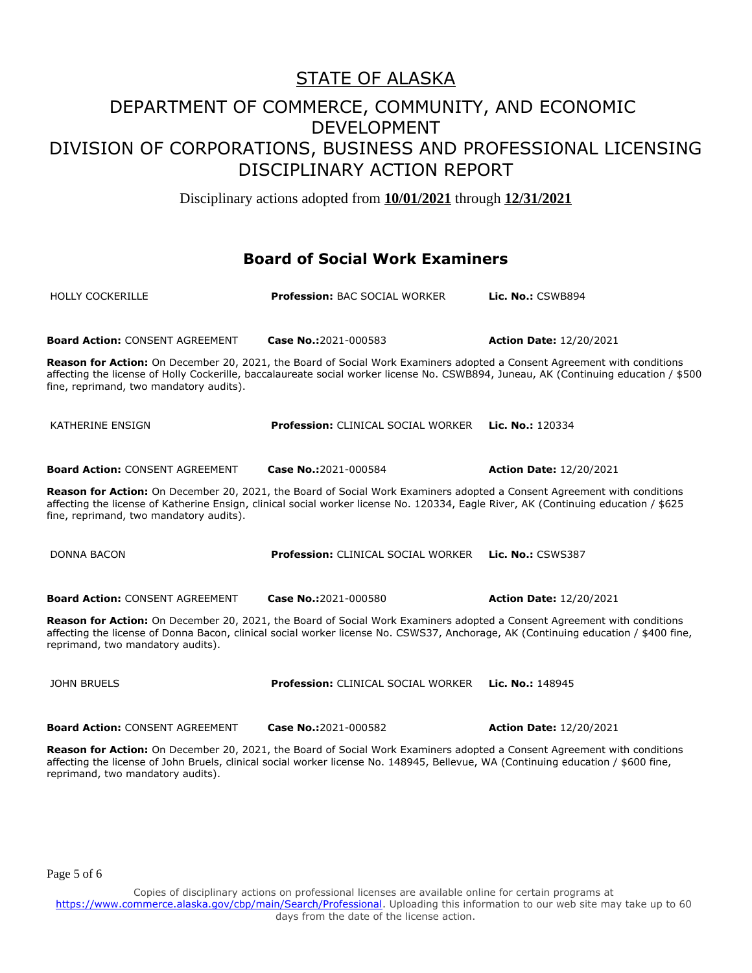Disciplinary actions adopted from **10/01/2021** through **12/31/2021**

#### **Board of Social Work Examiners**

| <b>HOLLY COCKERILLE</b>                 | <b>Profession: BAC SOCIAL WORKER</b>                                                                                                                                                                                                                           | <b>Lic. No.: CSWB894</b>                                                                                                             |
|-----------------------------------------|----------------------------------------------------------------------------------------------------------------------------------------------------------------------------------------------------------------------------------------------------------------|--------------------------------------------------------------------------------------------------------------------------------------|
| <b>Board Action: CONSENT AGREEMENT</b>  | Case No.:2021-000583                                                                                                                                                                                                                                           | <b>Action Date: 12/20/2021</b>                                                                                                       |
| fine, reprimand, two mandatory audits). | Reason for Action: On December 20, 2021, the Board of Social Work Examiners adopted a Consent Agreement with conditions                                                                                                                                        | affecting the license of Holly Cockerille, baccalaureate social worker license No. CSWB894, Juneau, AK (Continuing education / \$500 |
| KATHERINE ENSIGN                        | Profession: CLINICAL SOCIAL WORKER                                                                                                                                                                                                                             | Lic. No.: 120334                                                                                                                     |
| <b>Board Action: CONSENT AGREEMENT</b>  | Case No.:2021-000584                                                                                                                                                                                                                                           | <b>Action Date: 12/20/2021</b>                                                                                                       |
| fine, reprimand, two mandatory audits). | Reason for Action: On December 20, 2021, the Board of Social Work Examiners adopted a Consent Agreement with conditions<br>affecting the license of Katherine Ensign, clinical social worker license No. 120334, Eagle River, AK (Continuing education / \$625 |                                                                                                                                      |
| <b>DONNA BACON</b>                      | <b>Profession: CLINICAL SOCIAL WORKER</b>                                                                                                                                                                                                                      | <b>Lic. No.: CSWS387</b>                                                                                                             |
| <b>Board Action: CONSENT AGREEMENT</b>  | Case No.:2021-000580                                                                                                                                                                                                                                           | <b>Action Date: 12/20/2021</b>                                                                                                       |
| reprimand, two mandatory audits).       | Reason for Action: On December 20, 2021, the Board of Social Work Examiners adopted a Consent Agreement with conditions<br>affecting the license of Donna Bacon, clinical social worker license No. CSWS37, Anchorage, AK (Continuing education / \$400 fine,  |                                                                                                                                      |
| <b>JOHN BRUELS</b>                      | <b>Profession: CLINICAL SOCIAL WORKER</b>                                                                                                                                                                                                                      | Lic. No.: 148945                                                                                                                     |
| <b>Board Action: CONSENT AGREEMENT</b>  | Case No.:2021-000582                                                                                                                                                                                                                                           | <b>Action Date: 12/20/2021</b>                                                                                                       |

**Reason for Action:** On December 20, 2021, the Board of Social Work Examiners adopted a Consent Agreement with conditions affecting the license of John Bruels, clinical social worker license No. 148945, Bellevue, WA (Continuing education / \$600 fine, reprimand, two mandatory audits).

Page 5 of 6

Copies of disciplinary actions on professional licenses are available online for certain programs at https://www.commerce.alaska.gov/cbp/main/Search/Professional</u>. Uploading this information to our web site may take up to 60 days from the date of the license action.